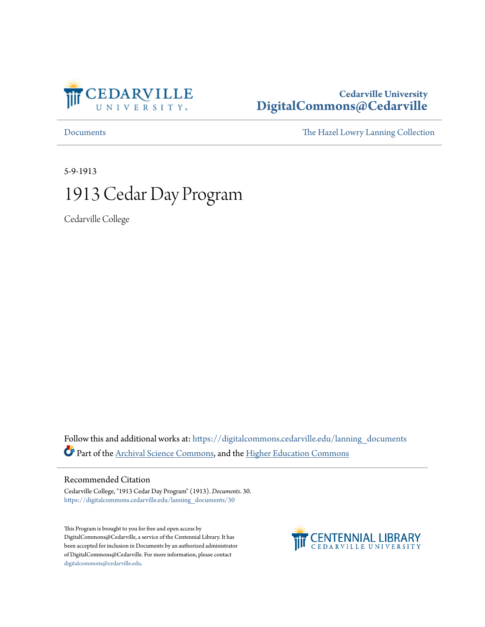

### **Cedarville University [DigitalCommons@Cedarville](https://digitalcommons.cedarville.edu?utm_source=digitalcommons.cedarville.edu%2Flanning_documents%2F30&utm_medium=PDF&utm_campaign=PDFCoverPages)**

[Documents](https://digitalcommons.cedarville.edu/lanning_documents?utm_source=digitalcommons.cedarville.edu%2Flanning_documents%2F30&utm_medium=PDF&utm_campaign=PDFCoverPages) [The Hazel Lowry Lanning Collection](https://digitalcommons.cedarville.edu/lanning_collection?utm_source=digitalcommons.cedarville.edu%2Flanning_documents%2F30&utm_medium=PDF&utm_campaign=PDFCoverPages)

5-9-1913

# 1913 Cedar Day Program

Cedarville College

Follow this and additional works at: [https://digitalcommons.cedarville.edu/lanning\\_documents](https://digitalcommons.cedarville.edu/lanning_documents?utm_source=digitalcommons.cedarville.edu%2Flanning_documents%2F30&utm_medium=PDF&utm_campaign=PDFCoverPages) Part of the [Archival Science Commons,](http://network.bepress.com/hgg/discipline/1021?utm_source=digitalcommons.cedarville.edu%2Flanning_documents%2F30&utm_medium=PDF&utm_campaign=PDFCoverPages) and the [Higher Education Commons](http://network.bepress.com/hgg/discipline/1245?utm_source=digitalcommons.cedarville.edu%2Flanning_documents%2F30&utm_medium=PDF&utm_campaign=PDFCoverPages)

### Recommended Citation

Cedarville College, "1913 Cedar Day Program" (1913). *Documents*. 30. [https://digitalcommons.cedarville.edu/lanning\\_documents/30](https://digitalcommons.cedarville.edu/lanning_documents/30?utm_source=digitalcommons.cedarville.edu%2Flanning_documents%2F30&utm_medium=PDF&utm_campaign=PDFCoverPages)

This Program is brought to you for free and open access by DigitalCommons@Cedarville, a service of the Centennial Library. It has been accepted for inclusion in Documents by an authorized administrator of DigitalCommons@Cedarville. For more information, please contact [digitalcommons@cedarville.edu](mailto:digitalcommons@cedarville.edu).

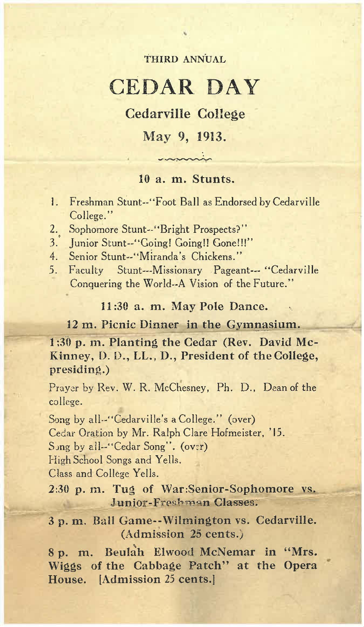### THIRD ANNUAL

..

## CEDAR DAY

Cedarville College

May 9, **1913.** 

--~

### **10** a. **m. Stunts.**

- 1. Freshman Stunt--"Foot Ball as Endorsed by Cedarville College."
- 2. Sophomore Stunt--"Bright Prospects?"
- 3.' Junior Stunt--"Going! Going!! Gone!!!"
- 4. Senior Stunt--"Miranda's Chickens."
- 5. Faculty Stunt---Missionary Pageant--- "Cedarville Conquering the World--A Vision of the Future."

**11 :30 a. m. May Pole Dance.** 

12 m. Picnic Dinner in the Gymnasium.

**1 :30 p. m. Planting the Cedar (Rev. David Mc-**Kinney, D. D., LL., D., President of the College, **presiding.)** 

Prayer by Rev. W. R. McChesney, Ph. D., Dean of the college.

Song by all-"Cedarville's a College." (over) Cedar Oration by Mr. Ralph Clare Hofmeister, '15. Sjng by all--" Cedar Song". (ov:r) High School Songs and Yells. Class and College Yells.

**2:30 p. m. Tug of War:Senior-Sophomore vs. Junior-Freshman Classes:** 

**3 p. m. Ball Game-~Wilmington vs. Cedarville. (Admission 25 cents.:,** 

8 p. m. Beulah Elwood McNemar in "Mrs. **Wiggs of the Cabbage Patch" at the Opera House. [Admission** 25 **cents.]**